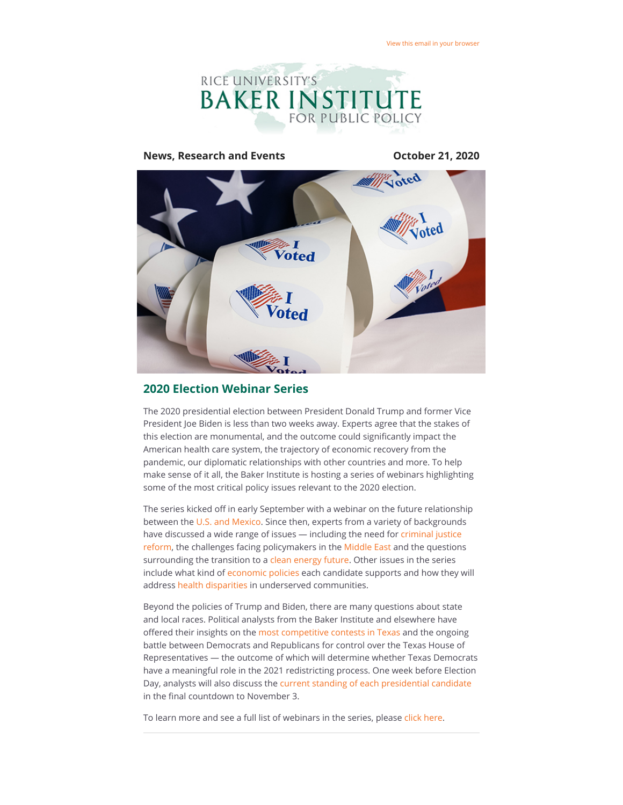

# **News, Research and Events CELE 12020 October 21, 2020** 'oted

### **2020 Election Webinar Series**

The 2020 presidential election between President Donald Trump and former Vice President Joe Biden is less than two weeks away. Experts agree that the stakes of this election are monumental, and the outcome could significantly impact the American health care system, the trajectory of economic recovery from the pandemic, our diplomatic relationships with other countries and more. To help make sense of it all, the Baker Institute is hosting a series of webinars highlighting some of the most critical policy issues relevant to the 2020 election.

The series kicked off in early September with a webinar on the future relationship between the [U.S. and Mexico.](https://riceconnect.rice.edu/page.redir?target=https%3a%2f%2fwww.bakerinstitute.org%2fevents%2f2135%2f&srcid=168639&srctid=1&erid=03979679-7fce-4165-b046-01d151eb0be7&trid=03979679-7fce-4165-b046-01d151eb0be7) Since then, experts from a variety of backgrounds have discussed a wide range of issues - including the need for criminal justice [reform, the challenges facing policymakers in the Middle East and the question](https://riceconnect.rice.edu/page.redir?target=https%3a%2f%2fwww.bakerinstitute.org%2fevents%2f2138%2f&srcid=168639&srctid=1&erid=03979679-7fce-4165-b046-01d151eb0be7&trid=03979679-7fce-4165-b046-01d151eb0be7)s surrounding the transition to a [clean energy future](https://riceconnect.rice.edu/page.redir?target=https%3a%2f%2fwww.bakerinstitute.org%2fevents%2f2156%2f&srcid=168639&srctid=1&erid=03979679-7fce-4165-b046-01d151eb0be7&trid=03979679-7fce-4165-b046-01d151eb0be7). Other issues in the series include what kind of [economic policies](https://riceconnect.rice.edu/page.redir?target=https%3a%2f%2fwww.bakerinstitute.org%2fevents%2f2154%2f&srcid=168639&srctid=1&erid=03979679-7fce-4165-b046-01d151eb0be7&trid=03979679-7fce-4165-b046-01d151eb0be7) each candidate supports and how they will address [health disparities](https://riceconnect.rice.edu/page.redir?target=https%3a%2f%2fwww.bakerinstitute.org%2fevents%2f2153%2f&srcid=168639&srctid=1&erid=03979679-7fce-4165-b046-01d151eb0be7&trid=03979679-7fce-4165-b046-01d151eb0be7) in underserved communities.

Beyond the policies of Trump and Biden, there are many questions about state and local races. Political analysts from the Baker Institute and elsewhere have offered their insights on the [most competitive contests in Texas](https://riceconnect.rice.edu/page.redir?target=https%3a%2f%2fwww.bakerinstitute.org%2fevents%2f2158%2f&srcid=168639&srctid=1&erid=03979679-7fce-4165-b046-01d151eb0be7&trid=03979679-7fce-4165-b046-01d151eb0be7) and the ongoing battle between Democrats and Republicans for control over the Texas House of Representatives — the outcome of which will determine whether Texas Democrats have a meaningful role in the 2021 redistricting process. One week before Election Day, analysts will also discuss the [current standing of each presidential candidate](https://riceconnect.rice.edu/page.redir?target=https%3a%2f%2fwww.bakerinstitute.org%2fevents%2f2163%2f&srcid=168639&srctid=1&erid=03979679-7fce-4165-b046-01d151eb0be7&trid=03979679-7fce-4165-b046-01d151eb0be7) in the final countdown to November 3.

To learn more and see a full list of webinars in the series, please [click here](https://riceconnect.rice.edu/page.redir?target=https%3a%2f%2fwww.bakerinstitute.org%2fevents%2fsearch%2f%3fstart_dt%3d2020-09-10%26end_dt%3d%26event_group%3d%26search_category%3dtags__icontains%26q%3dElection%26search%3dSearch&srcid=168639&srctid=1&erid=03979679-7fce-4165-b046-01d151eb0be7&trid=03979679-7fce-4165-b046-01d151eb0be7).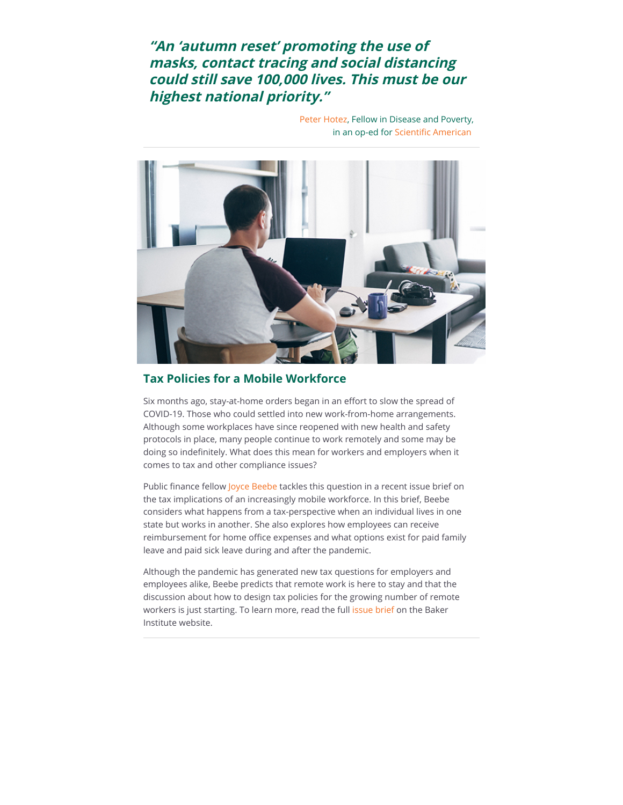# **"An 'autumn reset' promoting the use of masks, contact tracing and social distancing could still save 100,000 lives. This must be our highest national priority."**

[Peter Hotez](https://riceconnect.rice.edu/page.redir?target=https%3a%2f%2fwww.bakerinstitute.org%2fexperts%2fpeter-j-hotez%2f&srcid=168639&srctid=1&erid=03979679-7fce-4165-b046-01d151eb0be7&trid=03979679-7fce-4165-b046-01d151eb0be7), Fellow in Disease and Poverty, in an op-ed for Scientific American



## **Tax Policies for a Mobile Workforce**

Six months ago, stay-at-home orders began in an effort to slow the spread of COVID-19. Those who could settled into new work-from-home arrangements. Although some workplaces have since reopened with new health and safety protocols in place, many people continue to work remotely and some may be doing so indefinitely. What does this mean for workers and employers when it comes to tax and other compliance issues?

Public finance fellow [Joyce Beebe](https://riceconnect.rice.edu/page.redir?target=https%3a%2f%2fwww.bakerinstitute.org%2fexperts%2fjoyce-beebe%2f&srcid=168639&srctid=1&erid=03979679-7fce-4165-b046-01d151eb0be7&trid=03979679-7fce-4165-b046-01d151eb0be7) tackles this question in a recent issue brief on the tax implications of an increasingly mobile workforce. In this brief, Beebe considers what happens from a tax-perspective when an individual lives in one state but works in another. She also explores how employees can receive reimbursement for home office expenses and what options exist for paid family leave and paid sick leave during and after the pandemic.

Although the pandemic has generated new tax questions for employers and employees alike, Beebe predicts that remote work is here to stay and that the discussion about how to design tax policies for the growing number of remote workers is just starting. To learn more, read the full [issue brief o](https://riceconnect.rice.edu/page.redir?target=https%3a%2f%2fwww.bakerinstitute.org%2fresearch%2fthe-future-of-work-and-tax-policy-considerations-part-1-workforce-mobility%2f&srcid=168639&srctid=1&erid=03979679-7fce-4165-b046-01d151eb0be7&trid=03979679-7fce-4165-b046-01d151eb0be7)n the Baker Institute website.